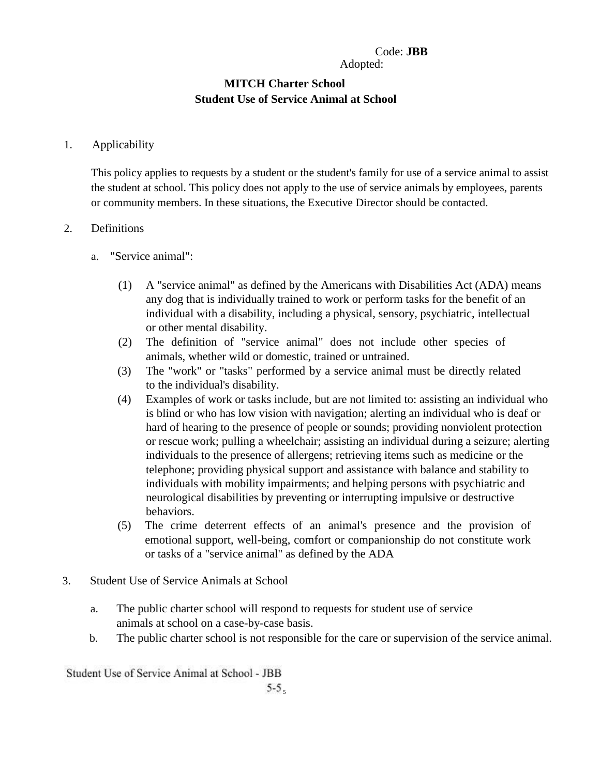# Code: **JBB**

Adopted:

# **MITCH Charter School Student Use of Service Animal at School**

### 1. Applicability

This policy applies to requests by a student or the student's family for use of a service animal to assist the student at school. This policy does not apply to the use of service animals by employees, parents or community members. In these situations, the Executive Director should be contacted.

### 2. Definitions

- a. "Service animal":
	- (1) A "service animal" as defined by the Americans with Disabilities Act (ADA) means any dog that is individually trained to work or perform tasks for the benefit of an individual with a disability, including a physical, sensory, psychiatric, intellectual or other mental disability.
	- (2) The definition of "service animal" does not include other species of animals, whether wild or domestic, trained or untrained.
	- (3) The "work" or "tasks" performed by a service animal must be directly related to the individual's disability.
	- (4) Examples of work or tasks include, but are not limited to: assisting an individual who is blind or who has low vision with navigation; alerting an individual who is deaf or hard of hearing to the presence of people or sounds; providing nonviolent protection or rescue work; pulling a wheelchair; assisting an individual during a seizure; alerting individuals to the presence of allergens; retrieving items such as medicine or the telephone; providing physical support and assistance with balance and stability to individuals with mobility impairments; and helping persons with psychiatric and neurological disabilities by preventing or interrupting impulsive or destructive behaviors.
	- (5) The crime deterrent effects of an animal's presence and the provision of emotional support, well-being, comfort or companionship do not constitute work or tasks of a "service animal" as defined by the ADA
- 3. Student Use of Service Animals at School
	- a. The public charter school will respond to requests for student use of service animals at school on a case-by-case basis.
	- b. The public charter school is not responsible for the care or supervision of the service animal.

Student Use of Service Animal at School - JBB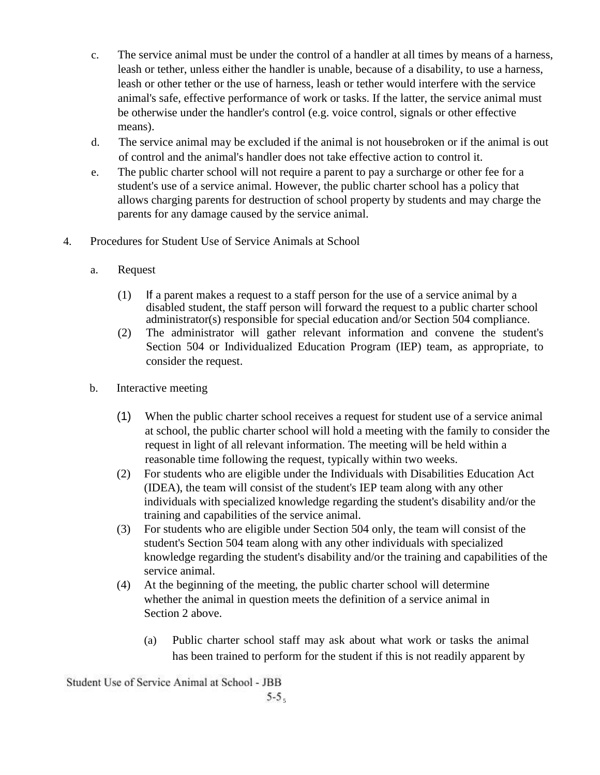- c. The service animal must be under the control of a handler at all times by means of a harness, leash or tether, unless either the handler is unable, because of a disability, to use a harness, leash or other tether or the use of harness, leash or tether would interfere with the service animal's safe, effective performance of work or tasks. If the latter, the service animal must be otherwise under the handler's control (e.g. voice control, signals or other effective means).
- d. The service animal may be excluded if the animal is not housebroken or if the animal is out of control and the animal's handler does not take effective action to control it.
- e. The public charter school will not require a parent to pay a surcharge or other fee for a student's use of a service animal. However, the public charter school has a policy that allows charging parents for destruction of school property by students and may charge the parents for any damage caused by the service animal.
- 4. Procedures for Student Use of Service Animals at School
	- a. Request
		- (1) If a parent makes a request to a staff person for the use of a service animal by a disabled student, the staff person will forward the request to a public charter school administrator(s) responsible for special education and/or Section 504 compliance.
		- (2) The administrator will gather relevant information and convene the student's Section 504 or Individualized Education Program (IEP) team, as appropriate, to consider the request.
	- b. Interactive meeting
		- (1) When the public charter school receives a request for student use of a service animal at school, the public charter school will hold a meeting with the family to consider the request in light of all relevant information. The meeting will be held within a reasonable time following the request, typically within two weeks.
		- (2) For students who are eligible under the Individuals with Disabilities Education Act (IDEA), the team will consist of the student's IEP team along with any other individuals with specialized knowledge regarding the student's disability and/or the training and capabilities of the service animal.
		- (3) For students who are eligible under Section 504 only, the team will consist of the student's Section 504 team along with any other individuals with specialized knowledge regarding the student's disability and/or the training and capabilities of the service animal.
		- (4) At the beginning of the meeting, the public charter school will determine whether the animal in question meets the definition of a service animal in Section 2 above.
			- (a) Public charter school staff may ask about what work or tasks the animal has been trained to perform for the student if this is not readily apparent by

Student Use of Service Animal at School - JBB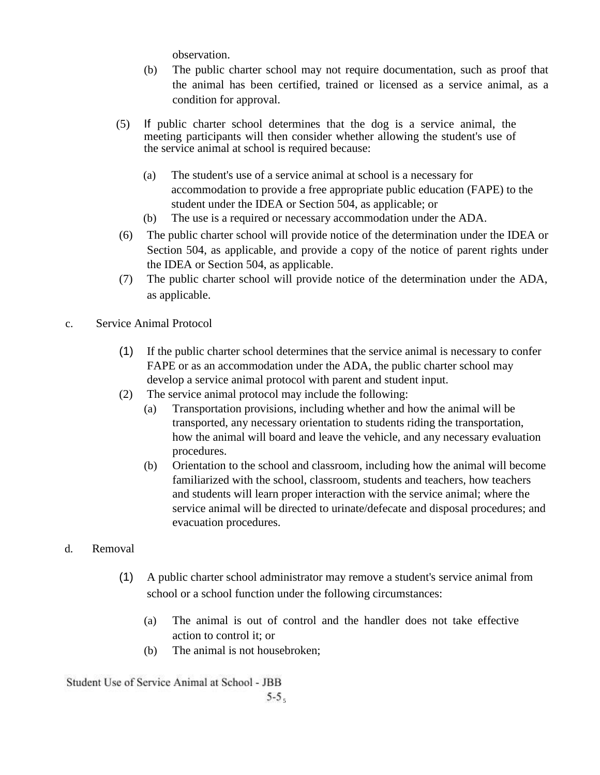observation.

- (b) The public charter school may not require documentation, such as proof that the animal has been certified, trained or licensed as a service animal, as a condition for approval.
- (5) If public charter school determines that the dog is a service animal, the meeting participants will then consider whether allowing the student's use of the service animal at school is required because:
	- (a) The student's use of a service animal at school is a necessary for accommodation to provide a free appropriate public education (FAPE) to the student under the IDEA or Section 504, as applicable; or
	- (b) The use is a required or necessary accommodation under the ADA.
- (6) The public charter school will provide notice of the determination under the IDEA or Section 504, as applicable, and provide a copy of the notice of parent rights under the IDEA or Section 504, as applicable.
- (7) The public charter school will provide notice of the determination under the ADA, as applicable.
- c. Service Animal Protocol
	- (1) If the public charter school determines that the service animal is necessary to confer FAPE or as an accommodation under the ADA, the public charter school may develop a service animal protocol with parent and student input.
	- (2) The service animal protocol may include the following:
		- (a) Transportation provisions, including whether and how the animal will be transported, any necessary orientation to students riding the transportation, how the animal will board and leave the vehicle, and any necessary evaluation procedures.
		- (b) Orientation to the school and classroom, including how the animal will become familiarized with the school, classroom, students and teachers, how teachers and students will learn proper interaction with the service animal; where the service animal will be directed to urinate/defecate and disposal procedures; and evacuation procedures.
- d. Removal
	- (1) A public charter school administrator may remove a student's service animal from school or a school function under the following circumstances:
		- (a) The animal is out of control and the handler does not take effective action to control it; or
		- (b) The animal is not housebroken;

Student Use of Service Animal at School - JBB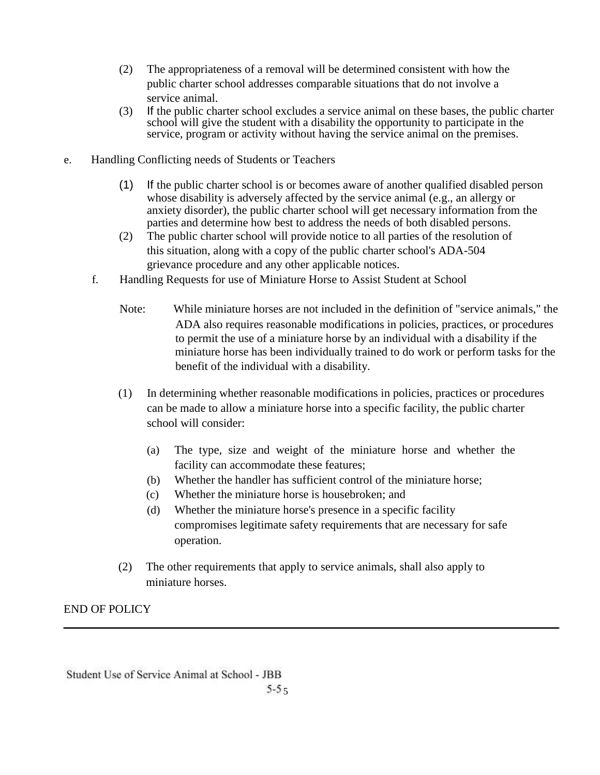- (2) The appropriateness of a removal will be determined consistent with how the public charter school addresses comparable situations that do not involve a service animal.
- (3) If the public charter school excludes a service animal on these bases, the public charter school will give the student with a disability the opportunity to participate in the service, program or activity without having the service animal on the premises.
- e. Handling Conflicting needs of Students or Teachers
	- (1) If the public charter school is or becomes aware of another qualified disabled person whose disability is adversely affected by the service animal (e.g., an allergy or anxiety disorder), the public charter school will get necessary information from the parties and determine how best to address the needs of both disabled persons.
	- (2) The public charter school will provide notice to all parties of the resolution of this situation, along with a copy of the public charter school's ADA-504 grievance procedure and any other applicable notices.
	- f. Handling Requests for use of Miniature Horse to Assist Student at School
		- Note: While miniature horses are not included in the definition of "service animals," the ADA also requires reasonable modifications in policies, practices, or procedures to permit the use of a miniature horse by an individual with a disability if the miniature horse has been individually trained to do work or perform tasks for the benefit of the individual with a disability.
		- (1) In determining whether reasonable modifications in policies, practices or procedures can be made to allow a miniature horse into a specific facility, the public charter school will consider:
			- (a) The type, size and weight of the miniature horse and whether the facility can accommodate these features;
			- (b) Whether the handler has sufficient control of the miniature horse;
			- (c) Whether the miniature horse is housebroken; and
			- (d) Whether the miniature horse's presence in a specific facility compromises legitimate safety requirements that are necessary for safe operation.
		- (2) The other requirements that apply to service animals, shall also apply to miniature horses.

END OF POLICY